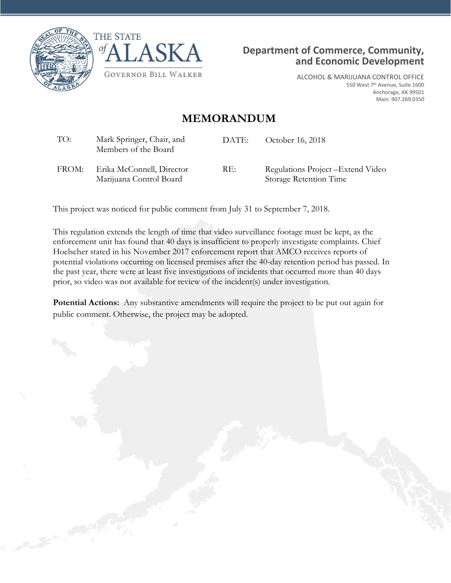





ALCOHOL & MARIJUANA CONTROL OFFICE 550 West 7th Avenue, Suite 1600 Anchorage, AK 99501 Main: 907.269.0350

## **MEMORANDUM**

| TO:   | Mark Springer, Chair, and<br>Members of the Board    | DATE: | October 16, 2018                                             |
|-------|------------------------------------------------------|-------|--------------------------------------------------------------|
| FROM: | Erika McConnell, Director<br>Marijuana Control Board | RE:   | Regulations Project – Extend Video<br>Storage Retention Time |

This project was noticed for public comment from July 31 to September 7, 2018.

This regulation extends the length of time that video surveillance footage must be kept, as the enforcement unit has found that 40 days is insufficient to properly investigate complaints. Chief Hoelscher stated in his November 2017 enforcement report that AMCO receives reports of potential violations occurring on licensed premises after the 40-day retention period has passed. In the past year, there were at least five investigations of incidents that occurred more than 40 days prior, so video was not available for review of the incident(s) under investigation.

**Potential Actions:** Any substantive amendments will require the project to be put out again for public comment. Otherwise, the project may be adopted.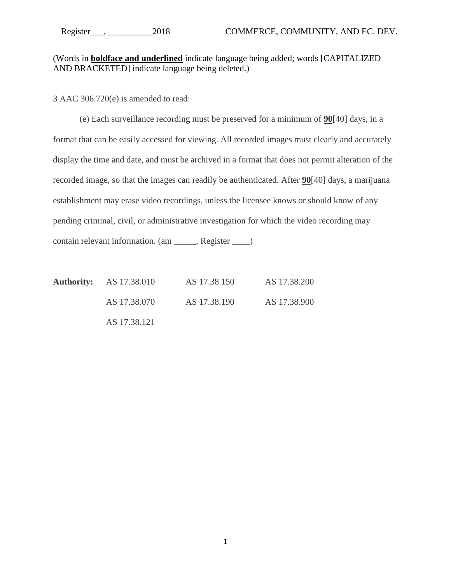## (Words in **boldface and underlined** indicate language being added; words [CAPITALIZED AND BRACKETED] indicate language being deleted.)

3 AAC 306.720(e) is amended to read:

(e) Each surveillance recording must be preserved for a minimum of **90**[40] days, in a format that can be easily accessed for viewing. All recorded images must clearly and accurately display the time and date, and must be archived in a format that does not permit alteration of the recorded image, so that the images can readily be authenticated. After **90**[40] days, a marijuana establishment may erase video recordings, unless the licensee knows or should know of any pending criminal, civil, or administrative investigation for which the video recording may contain relevant information. (am \_\_\_\_\_, Register \_\_\_\_)

**Authority:** AS 17.38.010 AS 17.38.150 AS 17.38.200 AS 17.38.070 AS 17.38.190 AS 17.38.900 AS 17.38.121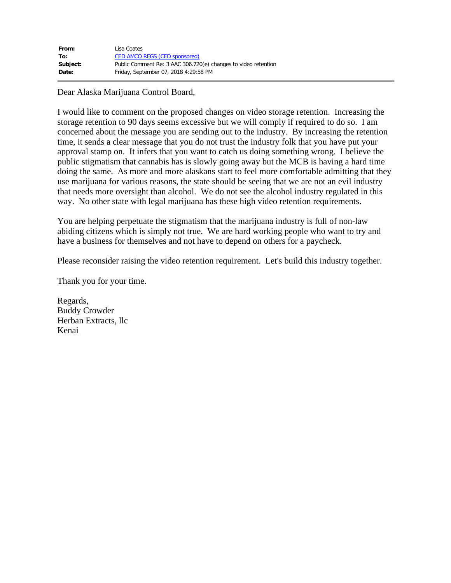| From:    | Lisa Coates                                                    |
|----------|----------------------------------------------------------------|
| To:      | <b>CED AMCO REGS (CED sponsored)</b>                           |
| Subject: | Public Comment Re: 3 AAC 306.720(e) changes to video retention |
| Date:    | Friday, September 07, 2018 4:29:58 PM                          |

Dear Alaska Marijuana Control Board,

I would like to comment on the proposed changes on video storage retention. Increasing the storage retention to 90 days seems excessive but we will comply if required to do so. I am concerned about the message you are sending out to the industry. By increasing the retention time, it sends a clear message that you do not trust the industry folk that you have put your approval stamp on. It infers that you want to catch us doing something wrong. I believe the public stigmatism that cannabis has is slowly going away but the MCB is having a hard time doing the same. As more and more alaskans start to feel more comfortable admitting that they use marijuana for various reasons, the state should be seeing that we are not an evil industry that needs more oversight than alcohol. We do not see the alcohol industry regulated in this way. No other state with legal marijuana has these high video retention requirements.

You are helping perpetuate the stigmatism that the marijuana industry is full of non-law abiding citizens which is simply not true. We are hard working people who want to try and have a business for themselves and not have to depend on others for a paycheck.

Please reconsider raising the video retention requirement. Let's build this industry together.

Thank you for your time.

Regards, Buddy Crowder Herban Extracts, llc Kenai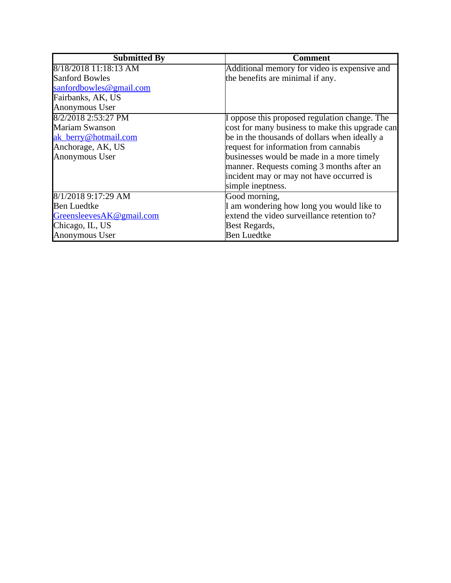| <b>Submitted By</b>      | <b>Comment</b>                                  |
|--------------------------|-------------------------------------------------|
| $8/18/2018$ 11:18:13 AM  | Additional memory for video is expensive and    |
| <b>Sanford Bowles</b>    | the benefits are minimal if any.                |
| sanfordbowles@gmail.com  |                                                 |
| Fairbanks, AK, US        |                                                 |
| Anonymous User           |                                                 |
| 8/2/2018 2:53:27 PM      | I oppose this proposed regulation change. The   |
| Mariam Swanson           | cost for many business to make this upgrade can |
| ak berry@hotmail.com     | be in the thousands of dollars when ideally a   |
| Anchorage, AK, US        | request for information from cannabis           |
| Anonymous User           | businesses would be made in a more timely       |
|                          | manner. Requests coming 3 months after an       |
|                          | incident may or may not have occurred is        |
|                          | simple ineptness.                               |
| 8/1/2018 9:17:29 AM      | Good morning,                                   |
| <b>Ben Luedtke</b>       | I am wondering how long you would like to       |
| GreensleevesAK@gmail.com | extend the video surveillance retention to?     |
| Chicago, IL, US          | Best Regards,                                   |
| Anonymous User           | <b>Ben Luedtke</b>                              |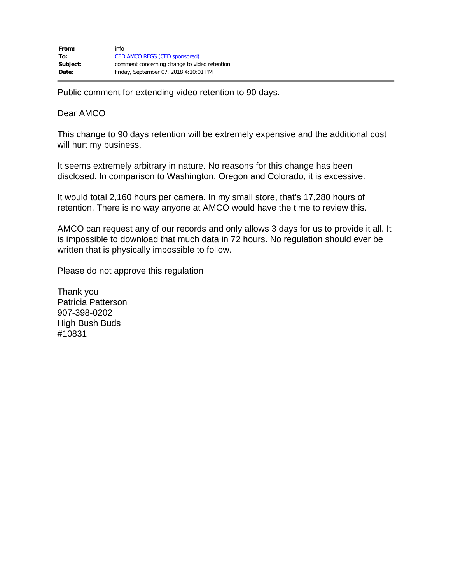Public comment for extending video retention to 90 days.

Dear AMCO

This change to 90 days retention will be extremely expensive and the additional cost will hurt my business.

It seems extremely arbitrary in nature. No reasons for this change has been disclosed. In comparison to Washington, Oregon and Colorado, it is excessive.

It would total 2,160 hours per camera. In my small store, that's 17,280 hours of retention. There is no way anyone at AMCO would have the time to review this.

AMCO can request any of our records and only allows 3 days for us to provide it all. It is impossible to download that much data in 72 hours. No regulation should ever be written that is physically impossible to follow.

Please do not approve this regulation

Thank you Patricia Patterson 907-398-0202 High Bush Buds #10831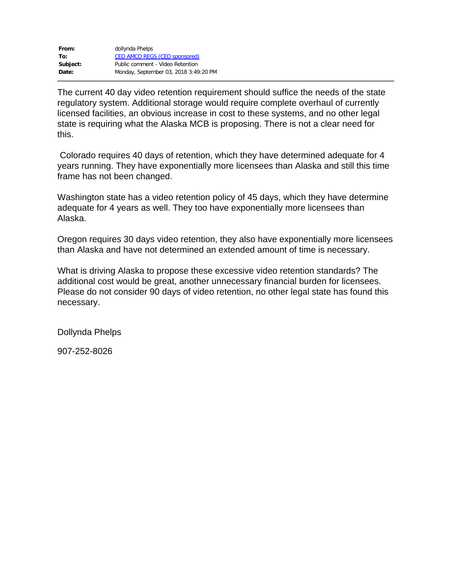| From:    | dollynda Phelps                       |
|----------|---------------------------------------|
| To:      | <b>CED AMCO REGS (CED sponsored)</b>  |
| Subject: | Public comment - Video Retention      |
| Date:    | Monday, September 03, 2018 3:49:20 PM |

The current 40 day video retention requirement should suffice the needs of the state regulatory system. Additional storage would require complete overhaul of currently licensed facilities, an obvious increase in cost to these systems, and no other legal state is requiring what the Alaska MCB is proposing. There is not a clear need for this.

Colorado requires 40 days of retention, which they have determined adequate for 4 years running. They have exponentially more licensees than Alaska and still this time frame has not been changed.

Washington state has a video retention policy of 45 days, which they have determine adequate for 4 years as well. They too have exponentially more licensees than Alaska.

Oregon requires 30 days video retention, they also have exponentially more licensees than Alaska and have not determined an extended amount of time is necessary.

What is driving Alaska to propose these excessive video retention standards? The additional cost would be great, another unnecessary financial burden for licensees. Please do not consider 90 days of video retention, no other legal state has found this necessary.

Dollynda Phelps

907-252-8026